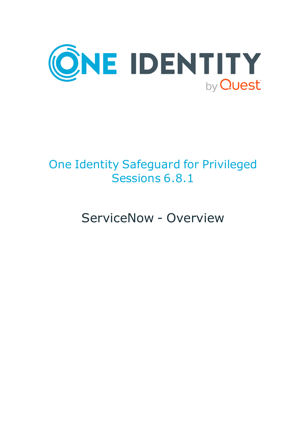

# One Identity Safeguard for Privileged Sessions 6.8.1

ServiceNow - Overview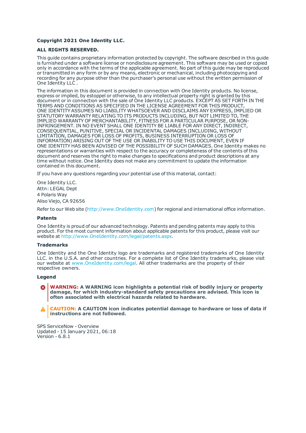#### **Copyright 2021 One Identity LLC.**

#### **ALL RIGHTS RESERVED.**

This guide contains proprietary information protected by copyright. The software described in this guide is furnished under a software license or nondisclosure agreement. This software may be used or copied only in accordance with the terms of the applicable agreement. No part of this guide may be reproduced or transmitted in any form or by any means, electronic or mechanical, including photocopying and recording for any purpose other than the purchaser's personal use without the written permission of One Identity LLC .

The information in this document is provided in connection with One Identity products. No license, express or implied, by estoppel or otherwise, to any intellectual property right is granted by this document or in connection with the sale of One Identity LLC products. EXCEPT AS SET FORTH IN THE TERMS AND CONDITIONS AS SPECIFIED IN THE LICENSE AGREEMENT FOR THIS PRODUCT, ONE IDENTITY ASSUMES NO LIABILITY WHATSOEVER AND DISCLAIMS ANY EXPRESS, IMPLIED OR STATUTORY WARRANTY RELATING TO ITS PRODUCTS INCLUDING, BUT NOT LIMITED TO, THE IMPLIED WARRANTY OF MERCHANTABILITY, FITNESS FOR A PARTICULAR PURPOSE, OR NON-INFRINGEMENT. IN NO EVENT SHALL ONE IDENTITY BE LIABLE FOR ANY DIRECT, INDIRECT, CONSEQUENTIAL, PUNITIVE, SPECIAL OR INCIDENTAL DAMAGES (INCLUDING, WITHOUT LIMITATION, DAMAGES FOR LOSS OF PROFITS, BUSINESS INTERRUPTION OR LOSS OF INFORMATION) ARISING OUT OF THE USE OR INABILITY TO USE THIS DOCUMENT, EVEN IF ONE IDENTITY HAS BEEN ADVISED OF THE POSSIBILITY OF SUCH DAMAGES. One Identity makes no representations or warranties with respect to the accuracy or completeness of the contents of this document and reserves the right to make changes to specifications and product descriptions at any time without notice. One Identity does not make any commitment to update the information contained in this document.

If you have any questions regarding your potential use of this material, contact:

One Identity LLC. Attn: LEGAL Dept 4 Polaris Way Aliso Viejo, CA 92656

Refer to our Web site ([http://www.OneIdentity.com](http://www.oneidentity.com/)) for regional and international office information.

#### **Patents**

One Identity is proud of our advanced technology. Patents and pending patents may apply to this product. For the most current information about applicable patents for this product, please visit our website at [http://www.OneIdentity.com/legal/patents.aspx](http://www.oneidentity.com/legal/patents.aspx).

#### **Trademarks**

One Identity and the One Identity logo are trademarks and registered trademarks of One Identity LLC. in the U.S.A. and other countries. For a complete list of One Identity trademarks, please visit our website at [www.OneIdentity.com/legal](http://www.oneidentity.com/legal). All other trademarks are the property of their respective owners.

#### **Legend**

**WARNING: A WARNING icon highlights a potential risk of bodily injury or property damage, for which industry-standard safety precautions are advised. This icon is often associated with electrical hazards related to hardware.**

**CAUTION: A CAUTION icon indicates potential damage to hardware or loss of data if** A **instructions are not followed.**

SPS ServiceNow - Overview Updated - 15 January 2021, 06:18 Version - 6.8.1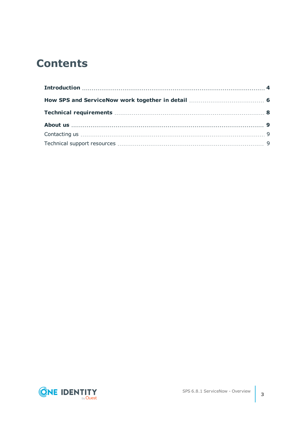## **Contents**

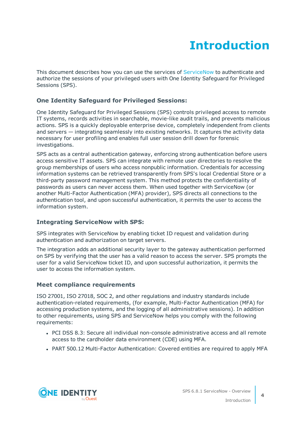# **Introduction**

<span id="page-3-0"></span>This document describes how you can use the services of [ServiceNow](https://www.servicenow.com/) to authenticate and authorize the sessions of your privileged users with One Identity Safeguard for Privileged Sessions (SPS).

## **One Identity Safeguard for Privileged Sessions:**

One Identity Safeguard for Privileged Sessions (SPS) controls privileged access to remote IT systems, records activities in searchable, movie-like audit trails, and prevents malicious actions. SPS is a quickly deployable enterprise device, completely independent from clients and servers — integrating seamlessly into existing networks. It captures the activity data necessary for user profiling and enables full user session drill down for forensic investigations.

SPS acts as a central authentication gateway, enforcing strong authentication before users access sensitive IT assets. SPS can integrate with remote user directories to resolve the group memberships of users who access nonpublic information. Credentials for accessing information systems can be retrieved transparently from SPS's local Credential Store or a third-party password management system. This method protects the confidentiality of passwords as users can never access them. When used together with ServiceNow (or another Multi-Factor Authentication (MFA) provider), SPS directs all connections to the authentication tool, and upon successful authentication, it permits the user to access the information system.

### **Integrating ServiceNow with SPS:**

SPS integrates with ServiceNow by enabling ticket ID request and validation during authentication and authorization on target servers.

The integration adds an additional security layer to the gateway authentication performed on SPS by verifying that the user has a valid reason to access the server. SPS prompts the user for a valid ServiceNow ticket ID, and upon successful authorization, it permits the user to access the information system.

### **Meet compliance requirements**

ISO 27001, ISO 27018, SOC 2, and other regulations and industry standards include authentication-related requirements, (for example, Multi-Factor Authentication (MFA) for accessing production systems, and the logging of all administrative sessions). In addition to other requirements, using SPS and ServiceNow helps you comply with the following requirements:

- PCI DSS 8.3: Secure all individual non-console administrative access and all remote access to the cardholder data environment (CDE) using MFA.
- PART 500.12 Multi-Factor Authentication: Covered entities are required to apply MFA



**4**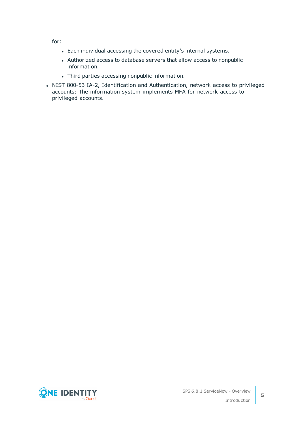for:

- Each individual accessing the covered entity's internal systems.
- Authorized access to database servers that allow access to nonpublic information.
- Third parties accessing nonpublic information.
- NIST 800-53 IA-2, Identification and Authentication, network access to privileged accounts: The information system implements MFA for network access to privileged accounts.

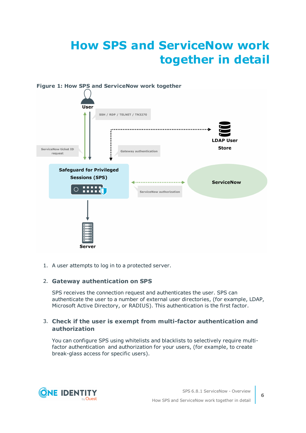# <span id="page-5-0"></span>**How SPS and ServiceNow work together in detail**



1. A user attempts to log in to a protected server.

### 2. **Gateway authentication on SPS**

SPS receives the connection request and authenticates the user. SPS can authenticate the user to a number of external user directories, (for example, LDAP, Microsoft Active Directory, or RADIUS). This authentication is the first factor.

#### 3. **Check if the user is exempt from multi-factor authentication and authorization**

You can configure SPS using whitelists and blacklists to selectively require multifactor authentication and authorization for your users, (for example, to create break-glass access for specific users).

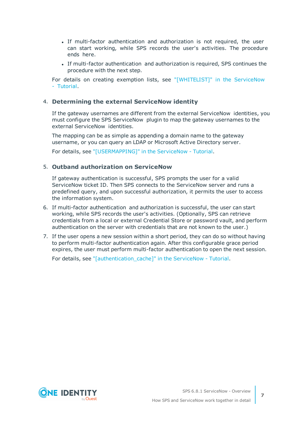- If multi-factor authentication and authorization is not required, the user can start working, while SPS records the user's activities. The procedure ends here.
- If multi-factor authentication and authorization is required, SPS continues the procedure with the next step.

For details on creating exemption lists, see ["\[WHITELIST\]"](https://support.oneidentity.com/technical-documents/safeguard-for-privileged-sessions/6.8.1/servicenow---tutorial/[whitelist]/) in the ServiceNow - [Tutorial](https://support.oneidentity.com/technical-documents/safeguard-for-privileged-sessions/6.8.1/servicenow---tutorial/[whitelist]/).

#### 4. **Determining the external ServiceNow identity**

If the gateway usernames are different from the external ServiceNow identities, you must configure the SPS ServiceNow plugin to map the gateway usernames to the external ServiceNow identities.

The mapping can be as simple as appending a domain name to the gateway username, or you can query an LDAP or Microsoft Active Directory server.

For details, see ["\[USERMAPPING\]"](https://support.oneidentity.com/technical-documents/safeguard-for-privileged-sessions/6.8.1/servicenow---tutorial/[usermapping]/) in the ServiceNow - Tutorial.

#### 5. **Outband authorization on ServiceNow**

If gateway authentication is successful, SPS prompts the user for a valid ServiceNow ticket ID. Then SPS connects to the ServiceNow server and runs a predefined query, and upon successful authorization, it permits the user to access the information system.

- 6. If multi-factor authentication and authorization is successful, the user can start working, while SPS records the user's activities. (Optionally, SPS can retrieve credentials from a local or external Credential Store or password vault, and perform authentication on the server with credentials that are not known to the user.)
- 7. If the user opens a new session within a short period, they can do so without having to perform multi-factor authentication again. After this configurable grace period expires, the user must perform multi-factor authentication to open the next session.

For details, see ["\[authentication\\_cache\]"](https://support.oneidentity.com/technical-documents/safeguard-for-privileged-sessions/6.8.1/servicenow---tutorial/[authentication_cache]/) in the ServiceNow - Tutorial.



**7**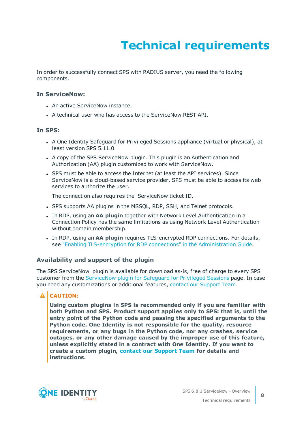# **Technical requirements**

<span id="page-7-0"></span>In order to successfully connect SPS with RADIUS server, you need the following components.

#### **In ServiceNow:**

- An active ServiceNow instance.
- A technical user who has access to the ServiceNow REST API.

#### **In SPS:**

- A One Identity Safeguard for Privileged Sessions appliance (virtual or physical), at least version SPS 5.11.0.
- A copy of the SPS ServiceNow plugin. This plugin is an Authentication and Authorization (AA) plugin customized to work with ServiceNow.
- SPS must be able to access the Internet (at least the API services). Since ServiceNow is a cloud-based service provider, SPS must be able to access its web services to authorize the user.

The connection also requires the ServiceNow ticket ID.

- SPS supports AA plugins in the MSSOL, RDP, SSH, and Telnet protocols.
- **In RDP, using an AA plugin together with Network Level Authentication in a** Connection Policy has the same limitations as using Network Level Authentication without domain membership.
- <sup>l</sup> In RDP, using an **AA plugin** requires TLS-encrypted RDP connections. For details, see "Enabling [TLS-encryption](https://support.oneidentity.com/technical-documents/safeguard-for-privileged-sessions/6.8.1/administration-guide/rdp-specific-settings/enabling-tls-encryption-for-rdp-connections/) for RDP connections" in the Administration Guide.

#### **Availability and support of the plugin**

The SPS ServiceNow plugin is available for download as-is, free of charge to every SPS customer from the [ServiceNow](https://github.com/OneIdentity/safeguard-sessions-plugin-servicenow/releases) plugin for Safeguard for Privileged Sessions page. In case you need any customizations or additional features, contact our [Support](https://support.oneidentity.com/one-identity-safeguard-for-privileged-sessions) Team.

### **A** CAUTION:

**Using custom plugins in SPS is recommended only if you are familiar with both Python and SPS. Product support applies only to SPS: that is, until the entry point of the Python code and passing the specified arguments to the Python code. One Identity is not responsible for the quality, resource requirements, or any bugs in the Python code, nor any crashes, service outages, or any other damage caused by the improper use of this feature, unless explicitly stated in a contract with One Identity. If you want to create a custom plugin, contact our [Support](https://support.oneidentity.com/one-identity-safeguard-for-privileged-sessions) Team for details and instructions.**